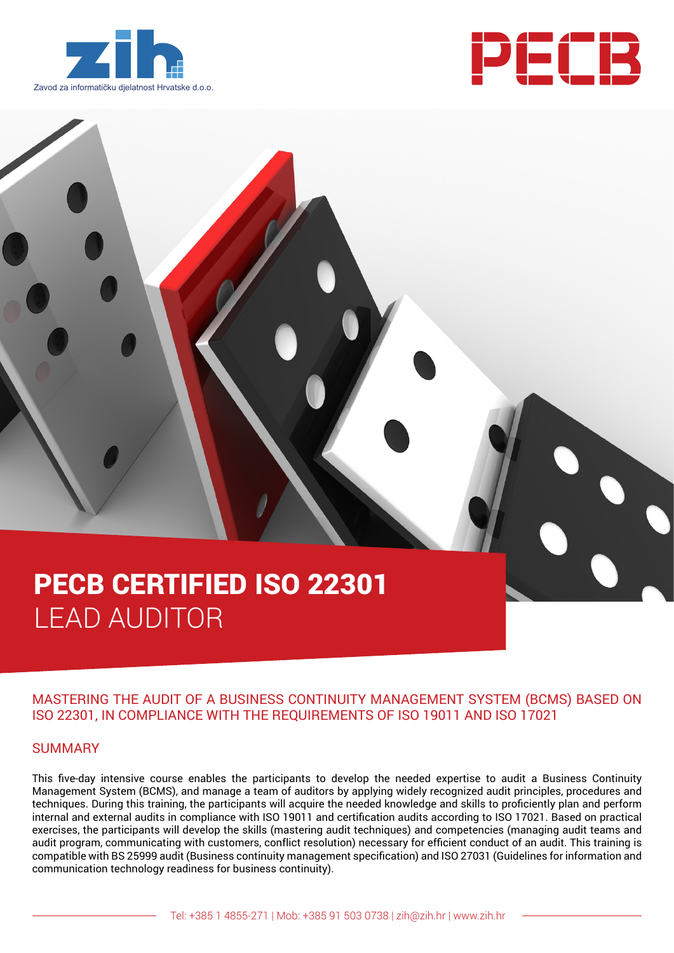



# PECB CERTIFIED ISO 22301 LEAD AUDITOR

### MASTERING THE AUDIT OF A BUSINESS CONTINUITY MANAGEMENT SYSTEM (BCMS) BASED ON ISO 22301, IN COMPLIANCE WITH THE REQUIREMENTS OF ISO 19011 AND ISO 17021

#### SUMMARY

This five-day intensive course enables the participants to develop the needed expertise to audit a Business Continuity Management System (BCMS), and manage a team of auditors by applying widely recognized audit principles, procedures and techniques. During this training, the participants will acquire the needed knowledge and skills to proficiently plan and perform internal and external audits in compliance with ISO 19011 and certification audits according to ISO 17021. Based on practical exercises, the participants will develop the skills (mastering audit techniques) and competencies (managing audit teams and audit program, communicating with customers, conflict resolution) necessary for efficient conduct of an audit. This training is compatible with BS 25999 audit (Business continuity management specification) and ISO 27031 (Guidelines for information and communication technology readiness for business continuity).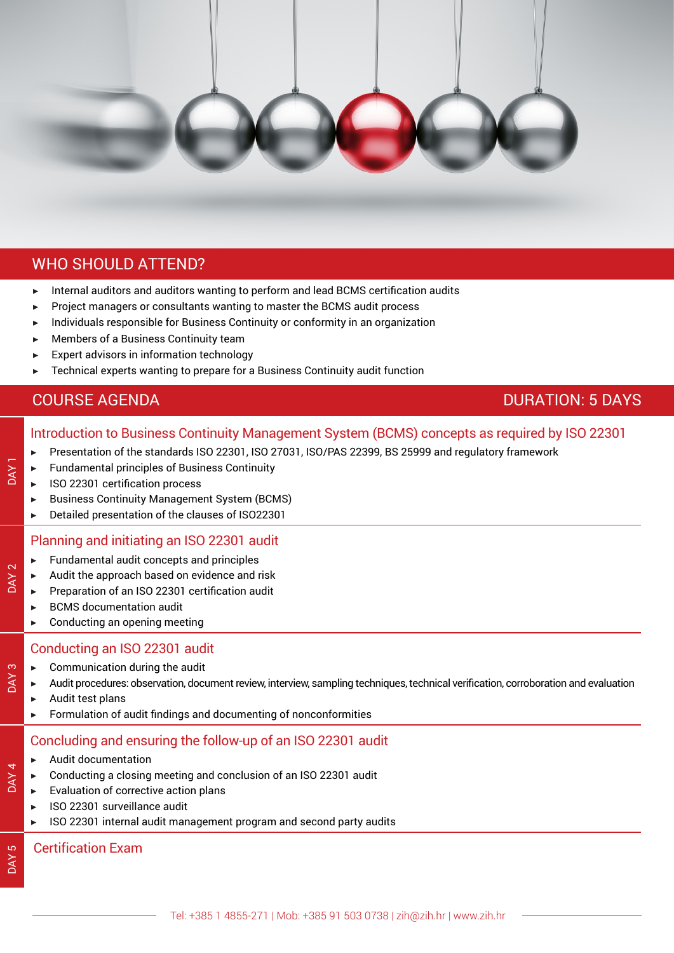

# WHO SHOULD ATTEND?

- ▶ Internal auditors and auditors wanting to perform and lead BCMS certification audits
- Project managers or consultants wanting to master the BCMS audit process
- Individuals responsible for Business Continuity or conformity in an organization
- Members of a Business Continuity team
- Expert advisors in information technology
- Technical experts wanting to prepare for a Business Continuity audit function

# **COURSE AGENDA** DURATION: 5 DAYS

## Introduction to Business Continuity Management System (BCMS) concepts as required by ISO 22301

- ▶ Presentation of the standards ISO 22301, ISO 27031, ISO/PAS 22399, BS 25999 and regulatory framework
- ▶ Fundamental principles of Business Continuity
- ▶ ISO 22301 certification process
- ▶ Business Continuity Management System (BCMS)
- ▶ Detailed presentation of the clauses of ISO22301

#### Planning and initiating an ISO 22301 audit

- ▶ Fundamental audit concepts and principles
- Audit the approach based on evidence and risk
- ▶ Preparation of an ISO 22301 certification audit
- **BCMS** documentation audit
- $\blacktriangleright$  Conducting an opening meeting

#### Conducting an ISO 22301 audit

- $\blacktriangleright$  Communication during the audit
- Audit procedures: observation, document review, interview, sampling techniques, technical verification, corroboration and evaluation
- ▶ Audit test plans
- $\blacktriangleright$  Formulation of audit findings and documenting of nonconformities

#### Concluding and ensuring the follow-up of an ISO 22301 audit

- ▶ Audit documentation
- Conducting a closing meeting and conclusion of an ISO 22301 audit
	- **Evaluation of corrective action plans**
	- ▶ ISO 22301 surveillance audit
	- ▶ ISO 22301 internal audit management program and second party audits

#### Certification Exam

DAY<sub>4</sub>

DAY<sub>1</sub>

**DAY 2** 

DAY 3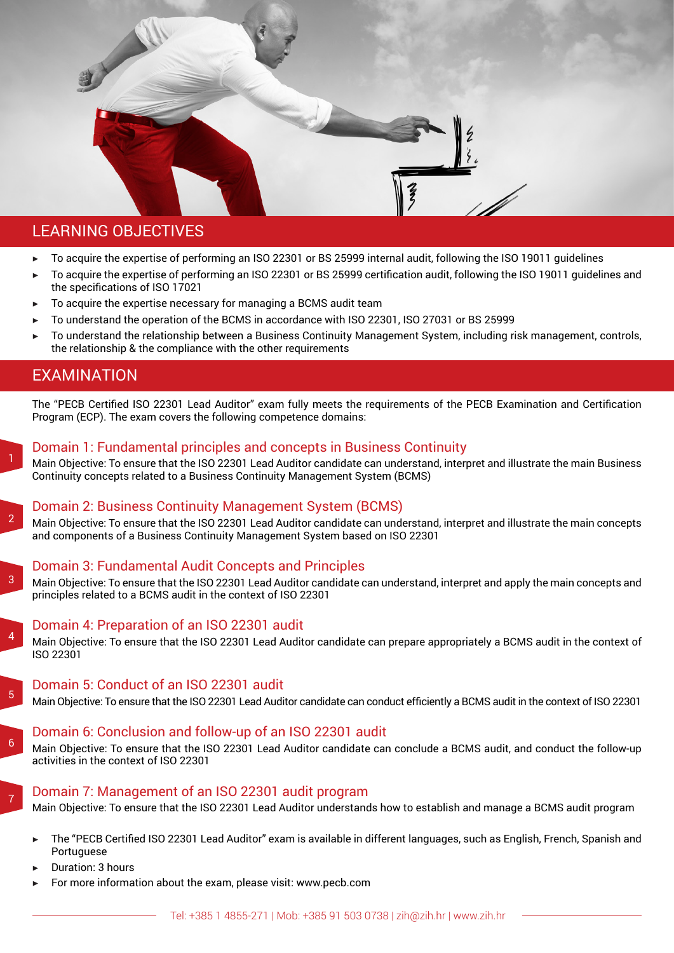

- To acquire the expertise of performing an ISO 22301 or BS 25999 internal audit, following the ISO 19011 guidelines
- ▶ To acquire the expertise of performing an ISO 22301 or BS 25999 certification audit, following the ISO 19011 guidelines and the specifications of ISO 17021
- To acquire the expertise necessary for managing a BCMS audit team
- To understand the operation of the BCMS in accordance with ISO 22301, ISO 27031 or BS 25999

Domain 1: Fundamental principles and concepts in Business Continuity

To understand the relationship between a Business Continuity Management System, including risk management, controls, the relationship & the compliance with the other requirements

# EXAMINATION

The "PECB Certified ISO 22301 Lead Auditor" exam fully meets the requirements of the PECB Examination and Certification Program (ECP). The exam covers the following competence domains: